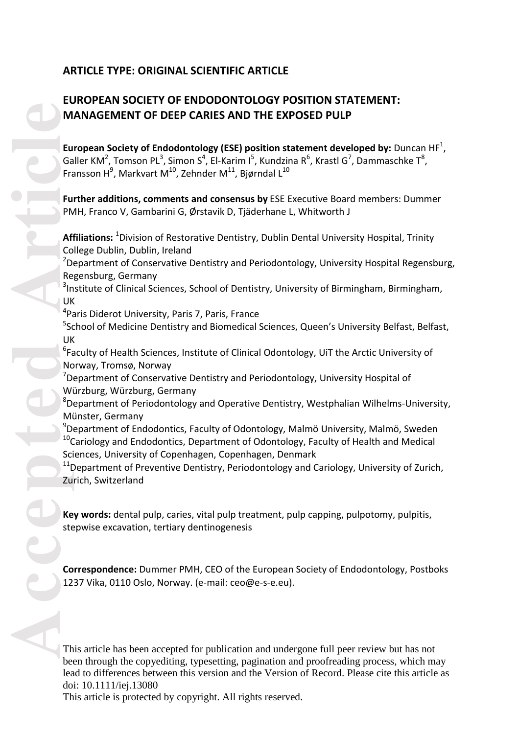# **ARTICLE TYPE: ORIGINAL SCIENTIFIC ARTICLE**

# **EUROPEAN SOCIETY OF ENDODONTOLOGY POSITION STATEMENT: MANAGEMENT OF DEEP CARIES AND THE EXPOSED PULP**

**European Society of Endodontology (ESE) position statement developed by:** Duncan HF 1 , Galler KM<sup>2</sup>, Tomson PL<sup>3</sup>, Simon S<sup>4</sup>, El-Karim I<sup>5</sup>, Kundzina R<sup>6</sup>, Krastl G<sup>7</sup>, Dammaschke T<sup>8</sup>, Fransson H $^9$ , Markvart M $^{10}$ , Zehnder M $^{11}$ , Bjørndal L $^{10}$ 

**Further additions , comments and consensus by** ESE Executive Board members: Dummer PMH, Franco V, Gambarini G, Ørstavik D, Tjäderhane L, Whitworth J

**Affiliations:** <sup>1</sup>Division of Restorative Dentistry, Dublin Dental University Hospital, Trinity College Dublin, Dublin, Ireland

<sup>2</sup>Department of Conservative Dentistry and Periodontology, University Hospital Regensburg, Regensburg, Germany

3 Institute of Clinical Sciences, School of Dentistry, University of Birmingham, Birmingham, UK

4 Paris Diderot University, Paris 7, Paris, France

<sup>5</sup>School of Medicine Dentistry and Biomedical Sciences, Queen's University Belfast, Belfast, UK

 $^6$ Faculty of Health Sciences, Institute of Clinical Odontology, UiT the Arctic University of Norway, Tromsø, Norway

 $7$ Department of Conservative Dentistry and Periodontology, University Hospital of Würzburg , Würzburg, Germany

<sup>8</sup>Department of Periodontology and Operative Dentistry, Westphalian Wilhelms-University, Münster, Germany

<sup>9</sup>Department of Endodontics, Faculty of Odontology, Malmö University, Malmö, Sweden <sup>10</sup>Cariology and Endodontics, Department of Odontology, Faculty of Health and Medical Sciences, University of Copenhagen, Copenhagen, Denmark

 $11$ Department of Preventive Dentistry, Periodontology and Cariology, University of Zurich, Zurich, Switzerland

**Key words:** dental pulp, caries, vital pulp treatment, pulp capping, pulpotomy, pulpitis, stepwise excavation, tertiary dentinogenesis

**Correspondence:** Dummer PMH, CEO of the European Society of Endodontology, Postboks 1237 Vika, 0110 Oslo, Norway. (e-mail: ceo@e-s-e.eu).

This article has been accepted for publication and undergone full peer review but has not been through the copyediting, typesetting, pagination and proofreading process, which may lead to differences between this version and the Version of Record. Please cite this article as doi: 10.1111/iej.13080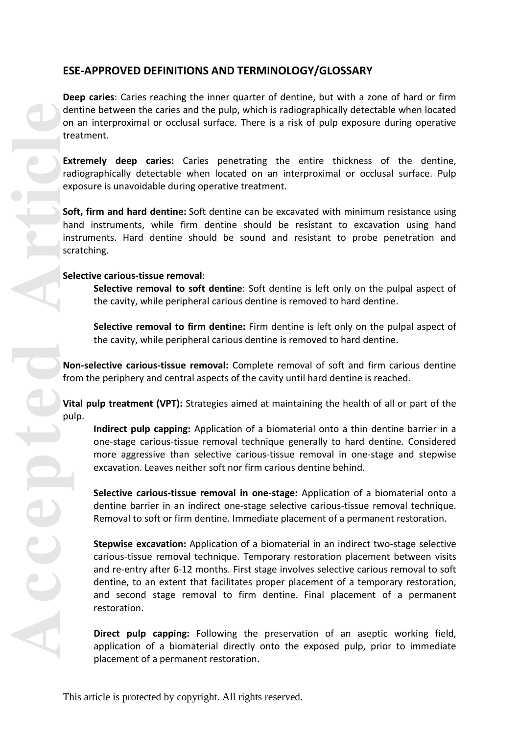# **ESE -APPROVED DEFINITIONS AND TERMINOLOGY/GLOSSARY**

**Deep caries**: Caries reaching the inner quarter of dentine, but with a zone of hard or firm dentine between the caries and the pulp, which is radiographically detectable when located on an interproximal or occlusal surface. There is a risk of pulp exposure during operative treatment .

**Extremely deep caries:** Caries penetrating the entire thickness of the dentine, radiographically detectable when located on an interproximal or occlusal surface. Pulp exposure is unavoidable during operative treatment.

**Soft, firm and hard dentine:** Soft dentine can be excavated with minimum resistance using hand instruments, while firm dentine should be resistant to excavation using hand instruments. Hard dentine should be sound and resistant to probe penetration and scratching.

## **Selective carious -tissue removal** :

**Selective remova l to soft dentine** : Soft dentine is left only on the pulpal aspect of the cavity, while peripheral carious dentine is removed to hard dentine.

**Selective removal to firm dentine:** Firm dentine is left only on the pulpal aspect of the cavity, while peripheral carious dentine is removed to hard dentine.

**Non-selective carious-tissue removal:** Complete removal of soft and firm carious dentine from the periphery and central aspects of the cavity until hard dentine is reached.

**Vital pulp treatment (VPT):** Strategies aimed at maintaining the health of all or part of the pulp.

**Indirect pulp capping:** Application of a biomaterial onto a thin dentine barrier in a one -stage carious -tissue removal technique generally to hard dentine. Considered more aggressive than selective carious -tissue removal in one -stage and stepwise excavation. Leaves neither soft nor firm carious dentine behind.

**Selective carious-tissue removal in one-stage:** Application of a biomaterial onto a dentine barrier in an indirect one -stage selective carious -tissue removal technique. Removal to soft or firm dentine. Immediate placement of a permanent restoration.

**Stepwise excavation:** Application of a biomaterial in an indirect two -stage selective carious -tissue removal technique. Temporary restoration placement between visits and re -entry after 6 -12 months. First stage involves selective carious removal to soft dentine , to an extent that facilitates proper placement of a temporary restoration , and second stage removal to firm dentine. Final placement of a permanent restoration.

**Direct pulp capping:** Following the preservation of an aseptic working field, application of a biomaterial directly onto the exposed pulp, prior to immediate placement of a permanent restoration.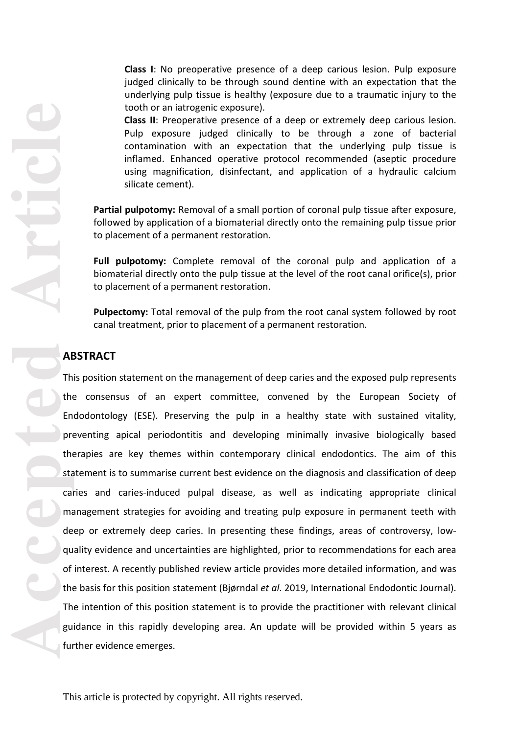**Class II**: Preoperative presence of a deep or extremely deep carious lesion. Pulp exposure judged clinically to be through a zone of bacterial contamination with an expectation that the underlying pulp tissue is inflamed. Enhanced operative protocol recommended (aseptic procedure using magnification, disinfectant, and application of a hydraulic calcium silicate cement).

**Partial pulpotomy:** Removal of a small portion of coronal pulp tissue after exposure, followed by application of a biomaterial directly onto the remaining pulp tissue prior to placement of a permanent restoration.

**Full pulpotomy:** Complete removal of the coronal pulp and application of a biomaterial directly onto the pulp tissue at the level of the root canal orifice(s), prior to placement of a permanent restoration.

**Pulpectomy:** Total removal of the pulp from the root canal system followed by root canal treatment, prior to placement of a permanent restoration.

## **ABSTRACT**

**Accepted Article**<br> **Article**<br> **Article**<br> **Article**<br> **Article**<br> **Article**<br> **Article**<br> **Article**<br> **Article**<br> **Article**<br> **Article**<br> **Article**<br> **Article**<br> **Article** This position statement on the management of deep caries and the exposed pulp represents the consensus of an expert committee, convened by the European Society of Endodontology (ESE). Preserving the pulp in a healthy state with sustained vitality, preventing apical periodontitis and developing minimally invasive biologically based therapies are key themes within contemporary clinical endodontics. The aim of this statement is to summarise current best evidence on the diagnosis and classification of deep caries and caries -induced pulpal disease, as well as indicating appropriate clinical management strategies for avoiding and treating pulp exposure in permanent teeth with deep or extremely deep caries. In presenting these findings, areas of controversy, low quality evidence and uncertainties are highlighted, prior to recommendations for each area of interest. A recently published review article provides more detailed information, and was the basis for this position statement (Bjørndal *et al* . 2019, International Endodontic Journal). The intention of this position statement is to provide the practitioner with relevant clinical guidance in this rapidly developing area. An update will be provided within 5 years as further evidence emerges.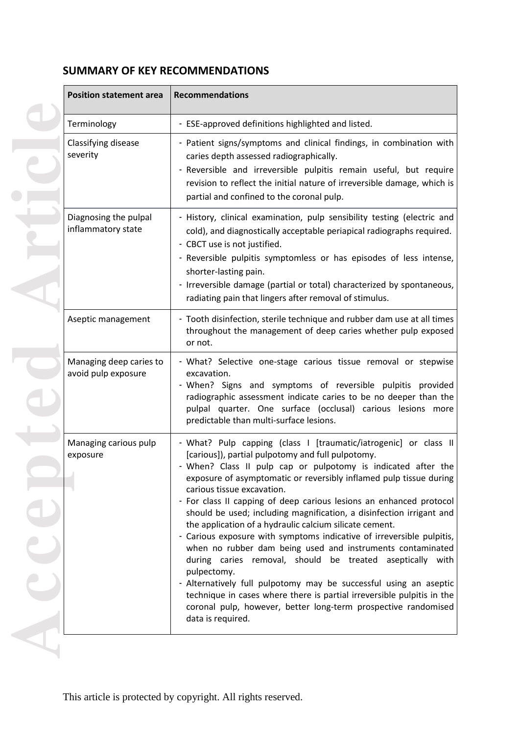## **SUMMARY OF KEY RECOMMENDATIONS**

| <b>Position statement area</b>                 | <b>Recommendations</b>                                                                                                                                                                                                                                                                                                                                                                                                                                                                                                                                                                                                                                                                                                                                                                                                                                                                                                                                        |
|------------------------------------------------|---------------------------------------------------------------------------------------------------------------------------------------------------------------------------------------------------------------------------------------------------------------------------------------------------------------------------------------------------------------------------------------------------------------------------------------------------------------------------------------------------------------------------------------------------------------------------------------------------------------------------------------------------------------------------------------------------------------------------------------------------------------------------------------------------------------------------------------------------------------------------------------------------------------------------------------------------------------|
| Terminology                                    | - ESE-approved definitions highlighted and listed.                                                                                                                                                                                                                                                                                                                                                                                                                                                                                                                                                                                                                                                                                                                                                                                                                                                                                                            |
| Classifying disease<br>severity                | - Patient signs/symptoms and clinical findings, in combination with<br>caries depth assessed radiographically.<br>- Reversible and irreversible pulpitis remain useful, but require<br>revision to reflect the initial nature of irreversible damage, which is<br>partial and confined to the coronal pulp.                                                                                                                                                                                                                                                                                                                                                                                                                                                                                                                                                                                                                                                   |
| Diagnosing the pulpal<br>inflammatory state    | - History, clinical examination, pulp sensibility testing (electric and<br>cold), and diagnostically acceptable periapical radiographs required.<br>- CBCT use is not justified.<br>- Reversible pulpitis symptomless or has episodes of less intense,<br>shorter-lasting pain.<br>- Irreversible damage (partial or total) characterized by spontaneous,<br>radiating pain that lingers after removal of stimulus.                                                                                                                                                                                                                                                                                                                                                                                                                                                                                                                                           |
| Aseptic management                             | - Tooth disinfection, sterile technique and rubber dam use at all times<br>throughout the management of deep caries whether pulp exposed<br>or not.                                                                                                                                                                                                                                                                                                                                                                                                                                                                                                                                                                                                                                                                                                                                                                                                           |
| Managing deep caries to<br>avoid pulp exposure | - What? Selective one-stage carious tissue removal or stepwise<br>excavation.<br>- When? Signs and symptoms of reversible pulpitis provided<br>radiographic assessment indicate caries to be no deeper than the<br>pulpal quarter. One surface (occlusal) carious lesions more<br>predictable than multi-surface lesions.                                                                                                                                                                                                                                                                                                                                                                                                                                                                                                                                                                                                                                     |
| Managing carious pulp<br>exposure              | - What? Pulp capping (class I [traumatic/iatrogenic] or class II<br>[carious]), partial pulpotomy and full pulpotomy.<br>- When? Class II pulp cap or pulpotomy is indicated after the<br>exposure of asymptomatic or reversibly inflamed pulp tissue during<br>carious tissue excavation.<br>- For class II capping of deep carious lesions an enhanced protocol<br>should be used; including magnification, a disinfection irrigant and<br>the application of a hydraulic calcium silicate cement.<br>- Carious exposure with symptoms indicative of irreversible pulpitis,<br>when no rubber dam being used and instruments contaminated<br>during caries removal, should be treated aseptically with<br>pulpectomy.<br>- Alternatively full pulpotomy may be successful using an aseptic<br>technique in cases where there is partial irreversible pulpitis in the<br>coronal pulp, however, better long-term prospective randomised<br>data is required. |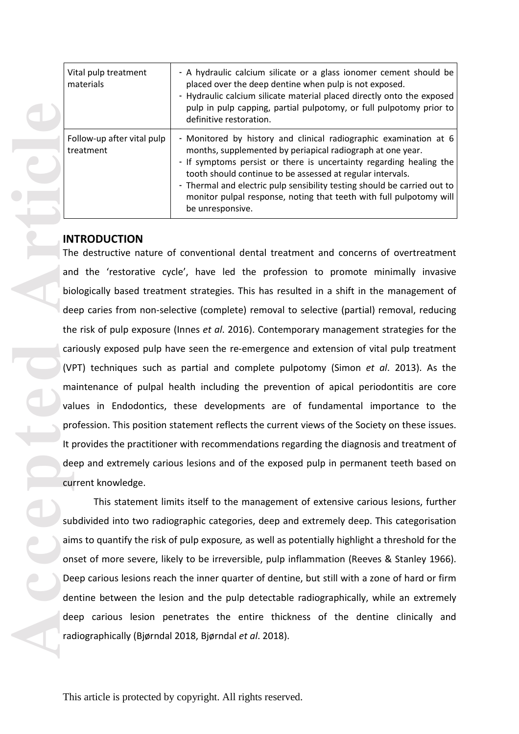| Vital pulp treatment<br>materials       | - A hydraulic calcium silicate or a glass ionomer cement should be<br>placed over the deep dentine when pulp is not exposed.<br>- Hydraulic calcium silicate material placed directly onto the exposed<br>pulp in pulp capping, partial pulpotomy, or full pulpotomy prior to<br>definitive restoration.                                                                                                                                    |
|-----------------------------------------|---------------------------------------------------------------------------------------------------------------------------------------------------------------------------------------------------------------------------------------------------------------------------------------------------------------------------------------------------------------------------------------------------------------------------------------------|
| Follow-up after vital pulp<br>treatment | - Monitored by history and clinical radiographic examination at 6<br>months, supplemented by periapical radiograph at one year.<br>- If symptoms persist or there is uncertainty regarding healing the<br>tooth should continue to be assessed at regular intervals.<br>- Thermal and electric pulp sensibility testing should be carried out to<br>monitor pulpal response, noting that teeth with full pulpotomy will<br>be unresponsive. |

### **INTRODUCTION**

The destructive nature of conventional dental treatment and concerns of overtreatment and the 'restorative cycle', have led the profession to promote minimally invasive biologically based treatment strategies. This has resulted in a shift in the management of deep caries from non -selective (complete) removal to selective (partial) removal, reducing the risk of pulp exposure (Innes *et al* . 2016). Contemporary management strategies for the cariously exposed pulp have seen the re -emergence and extension of vital pulp treatment (VPT) techniques such as partial and complete pulpotomy (Simon *et al* . 2013). As the maintenance of pulpal health including the prevention of apical periodontitis are core values in Endodontics, these developments are of fundamental importance to the profession. This position statement reflects the current views of the Society on these issues. It provides the practitioner with recommendations regarding the diagnosis and treatment of deep and extremely carious lesions and of the exposed pulp in permanent teeth based on current knowledge.

This statement limits itself to the management of extensive carious lesions, further subdivided into two radiographic categories, deep and extremely deep. This categorisation aims to quantify the risk of pulp exposure, as well as potentially highlight a threshold for the onset of more severe, likely to be irreversible, pulp inflammation (Reeves & Stanley 1966). Deep carious lesions reach the inner quarter of dentine, but still with a zone of hard or firm dentin e between the lesion and the pulp detectable radiographically , while an extremely deep carious lesion penetrates the entire thickness of the dentine clinically and radiographically (Bjørndal 2018, Bjørndal *et al* . 2018).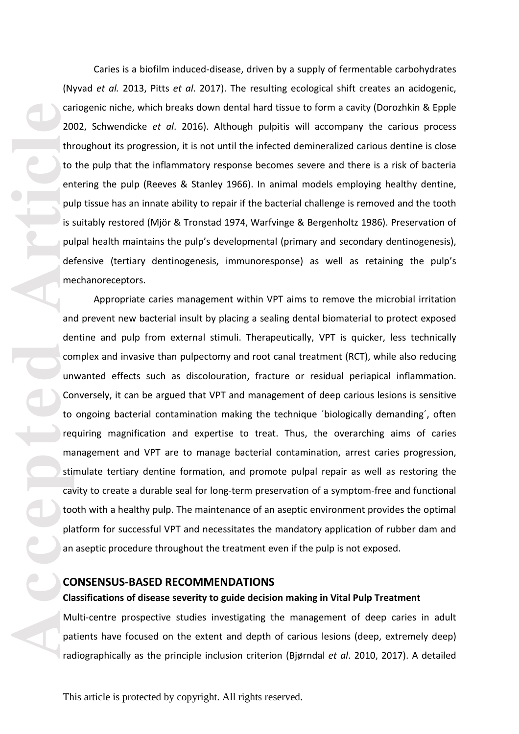Caries is a biofilm induced -disease , driven by a supply of fermentable carbohydrates (Nyvad *et al.* 2013, Pitts *et al* . 2017). The resulting ecological shift creates an acidogenic, cariogenic niche, which breaks down dental hard tissue to form a cavity (Dorozhkin & Epple 2002, Schwendicke *et al* . 2016). Although pulpitis will accompany the carious process throughout its progression, it is not until the infected demineralized carious dentine is close to the pulp that the inflammatory response becomes severe and there is a risk of bacteria entering the pulp (Reeves & Stanley 1966). In animal models employing healthy dentine, pulp tissue has an innate ability to repair if the bacterial challenge is removed and the tooth is suitably restored (Mjör & Tronstad 1974, Warfvinge & Bergenholtz 1986). Preservation of pulpal health maintains the pulp's developmental (primary and secondary dentinogenesis), defensive (tertiary dentinogenesis, immunoresponse) as well as retaining the pulp's mechanoreceptors.

Contraction of the contraction of the contraction of the contraction of the contraction of the contraction of the contraction of the contraction of the contraction of the contraction of the contraction of the contraction o Appropriate caries management within VPT aims to remove the microbial irritation and prevent new bacterial insult by placing a sealing dental biomaterial to protect exposed dentine and pulp from external stimuli. Therapeutically, VPT is quicker, less technically complex and invasive than pulpectomy and root canal treatment (RCT), while also reducing unwanted effects such as discolouration, fracture or residual periapical inflammation. Conversely, it can be argued that VPT and management of deep carious lesions is sensitive to ongoing bacterial contamination making the technique 'biologically demanding', often requiring magnification and expertise to treat. Thus, the overarching aims of caries management and VPT are to manage bacterial contamination, arrest caries progression, stimulate tertiary dentine formation, and promote pulpal repair as well as restoring the cavity to create a durable seal for long-term preservation of a symptom-free and functional tooth with a healthy pulp. The maintenance of an aseptic environment provides the optimal platform for successful VPT and necessitates the mandatory application of rubber dam and an aseptic procedure throughout the treatment even if the pulp is not exposed.

## **CONSENSUS -BASED RECOMMENDATIONS**

#### **Classifications of disease severity to guide decision making in Vital Pulp Treatment**

Multi -centre prospective studies investigating the management of deep caries in adult patients have focused on the extent and depth of carious lesions (deep, extremely deep) radiographically as the principle inclusion criterion (Bjørndal *et al* . 2010, 2017). A detailed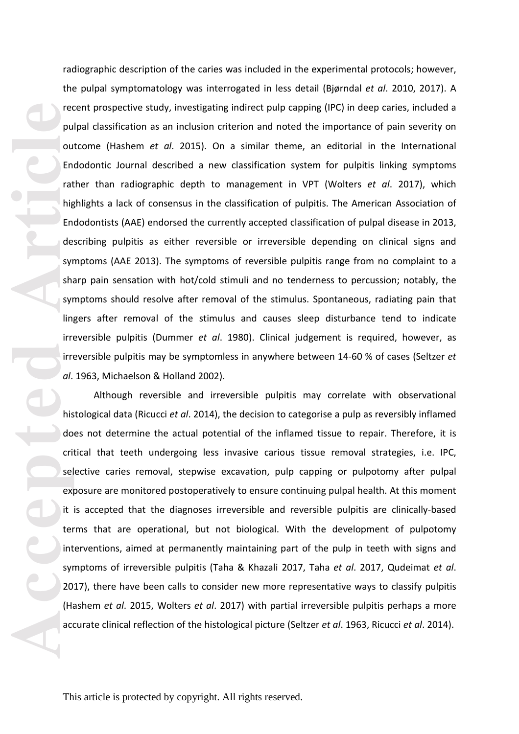radiographic description of the caries was included in the experimental protocols; however, the pulpal symptomatology was interrogated in less detail (Bjørndal *et al* . 2010, 2017). A recent prospective study, investigating indirect pulp capping (IPC) in deep caries, included a pulpal classification as an inclusion criterion and noted the importance of pain severity on outcome (Hashem *et al* . 2015). On a similar theme, an editorial in the International Endodontic Journal described a new classification system for pulpitis linking symptoms rather than radiographic depth to management in VPT (Wolters *et al* . 2017), which highlights a lack of consensus in the classification of pulpitis. The American Association of Endodontists (AAE) endorsed the currently accepted classification of pulpal disease in 2013, describing pulpitis as either reversible or irreversible depending on clinical signs and symptoms (AAE 2013). The symptoms of reversible pulpitis range from no complaint to a sharp pain sensation with hot/cold stimuli and no tenderness to percussion; notably, the symptoms should resolve after removal of the stimulus. Spontaneous, radiating pain that lingers after removal of the stimulus and causes sleep disturbance tend to indicate irreversible pulpitis (Dummer *et al* . 1980). Clinical judgement is required , however, as irreversible pulpitis may be symptomless in anywhere between 14 -60 % of cases (Seltzer *et al* . 1963, Michaelson & Holland 2002).

reception of the public of the strict of the strict of the strict of the strict of the strict of the strict of the strict of the strict of the strict of the strict of the strict of the strict of the strict of the strict of Although reversible and irreversible pulpitis may correlate with observational histological data (Ricucci *et al* . 2014), the decision to categorise a pulp as reversibly inflamed does not determine the actual potential of the inflamed tissue to repair. Therefore, it is critical that teeth undergoing less invasive carious tissue removal strategies, i.e. IPC, selective caries removal, stepwise excavation, pulp capping or pulpotomy after pulpal exposure are monitored postoperatively to ensure continuing pulpal health. At this moment it is accepted that the diagnoses irreversible and reversible pulpitis are clinically -based terms that are operational, but not biological. With the development of pulpotomy interventions, aimed at permanently maintaining part of the pulp in teeth with signs and symptoms of irreversible pulpitis (Taha & Khazali 2017, Taha *et al* . 2017, Qudeimat *et al* . 2017), there have been calls to consider new more representative ways to classify pulpitis (Hashem *et al* . 2015, Wolters *et al* . 2017) with partial irreversible pulpitis perhaps a more accurate clinical reflection of the histological picture (Seltzer *et al* . 1963, Ricucci *et al* . 2014).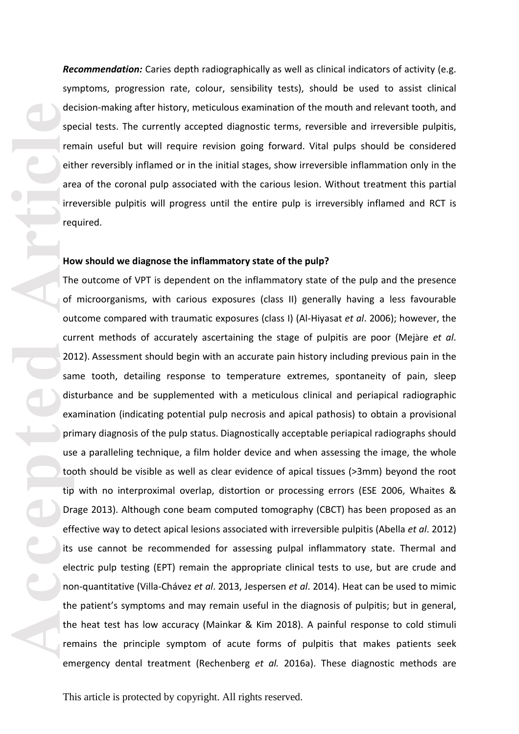*Recommendation:* Caries depth radiographically as well as clinical indicators of activity (e.g. symptoms, progression rate, colour, sensibility tests), should be used to assist clinical decision -making after history, meticulous examination of the mouth and relevant tooth, and special tests. The currently accepted diagnostic terms, reversible and irreversible pulpitis, remain useful but will require revision going forward. Vital pulps should be considered either reversibly inflamed or in the initial stages, show irreversible inflammation only in the area of the coronal pulp associated with the carious lesion. Without treatment this partial irreversible pulpitis will progress until the entire pulp is irreversibly inflamed and RCT is required.

#### **How should we diagnose the inflammator y state of the pulp?**

de spote<br>of the spote<br>of the spote<br>of the contract of the contract of the contract of the contract of the contract of the contract of the contract of the contract of the contract of the contract of the contract of the cont The outcome of VPT is dependent on the inflammatory state of the pulp and the presence of microorganisms, with carious exposures (class II) generally having a less favourable outcome compared with traumatic exposures (class I) (Al -Hiyasat *et al* . 2006); however, the current methods of accurately ascertaining the stage of pulpitis are poor (Mej àre *et al* . 2012). Assessment should begin with an accurate pain history including previous pain in the same tooth, detailing response to temperatur e extremes, spontaneity of pain, sleep disturbance and be supplemented with a meticulous clinical and periapical radiographic examination (indicating potential pulp necrosis and apical pathosis) to obtain a provisional primary diagnosis of the pulp status. Diagnostically acceptable periapical radiographs should use a paralleling technique, a film holder device and when assessing the image, the whole tooth should be visible as well as clear evidence of apical tissues (>3mm) beyond the root tip with no interproximal overlap, distortion or processing errors (ESE 2006 , Whaites & Drage 2013). Although cone beam computed tomography (CBCT) has been proposed as an effective way to detect apical lesions associated with irreversible pulpitis (Abella *et al* . 2012) its use cannot be recommended for assessing pulpal inflammatory state . Thermal and electric pulp testing (EPT) remain the appropriate clinical tests to use, but are crude and non -quantitative (Villa -Chávez *et al* . 2013, Jespersen *et al* . 2014). Heat can be used to mimic the patient's symptoms and may remain useful in the diagnosis of pulpitis; but in general, the heat test has low accuracy (Mainkar & Kim 2018). A painful response to cold stimuli remains the principle symptom of acute forms of pulpitis that makes patients seek emergency dental treatment (Rechenberg *et al.* 2016a). These diagnostic methods are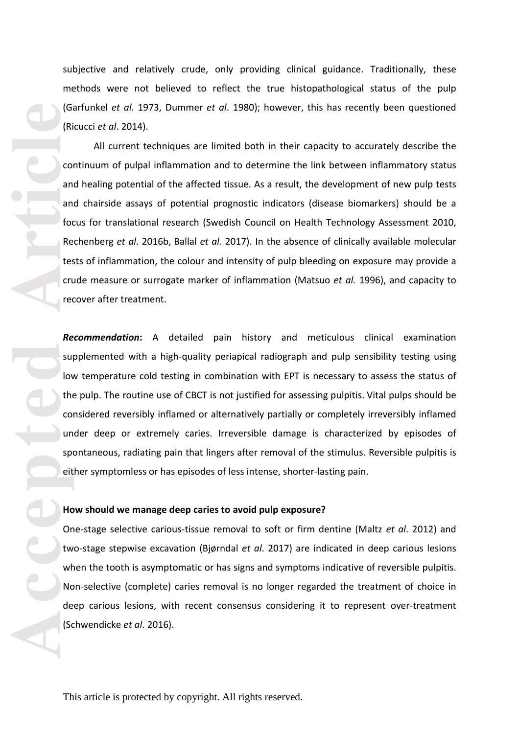subjective and relatively crude, only providing clinical guidance. Traditionally, these methods were not believed to reflect the true histopathological status of the pulp (Garfunkel *et al.* 1973, Dummer *et al* . 1980); however, this has recently been questioned (Ricucci *et al* . 2014).

All current techniques are limited both in their capacity to accurately describe the continuum of pulpal inflammation and to determine the link between inflammatory status and healing potential of the affected tissue. As a result, the development of new pulp tests and chairside assays of potential prognostic indicators (disease biomarkers) should be a focus for translational research (Swedish Council on Health Technology Assessment 2010, Rechenberg *et al* . 2016b, Ballal *et al* . 2017). In the absence of clinically available molecular tests of inflammation, the colour and intensity of pulp bleeding on exposure may provide a crude measure or surrogate marker of inflammation (Matsuo *et al.* 1996), and capacity to recover after treatment.

Gand and Canada and Canada and Canada and Canada and Canada and Canada and Canada and Canada and Canada and Canada and Canada and Canada and Canada and Canada and Canada and Canada and Canada and Canada and Canada and Cana *Recommendation* **:** A detailed pain history and meticulous clinical examination supplemented with a high-quality periapical radiograph and pulp sensibility testing using low temperature cold testing in combination with EPT is necessary to assess the status of the pulp. The routine use of CBCT is not justified for assessing pulpitis. Vital pulps should be considered reversibly inflamed or alternatively partially or completely irreversibly inflamed under deep or extremely caries. Irreversible damage is characterized by episodes of spontaneous, radiating pain that lingers after removal of the stimulus . Reversible pulpitis is either symptomless or has episodes of less intense, shorter-lasting pain.

#### **How should we manage deep caries to avoid pulp exposure?**

One-stage selective carious-tissue removal to soft or firm dentine (Maltz *et al*. 2012) and two -stage stepwise excavation (Bjørndal *et al* . 2017) are indicated in deep carious lesions when the tooth is asymptomatic or has signs and symptoms indicative of reversible pulpitis. Non -selective (complete) caries removal is no longer regarded the treatment of choice in deep carious lesions, with recent consensus considering it to represent over -treatment (Schwendicke *et al* . 2016).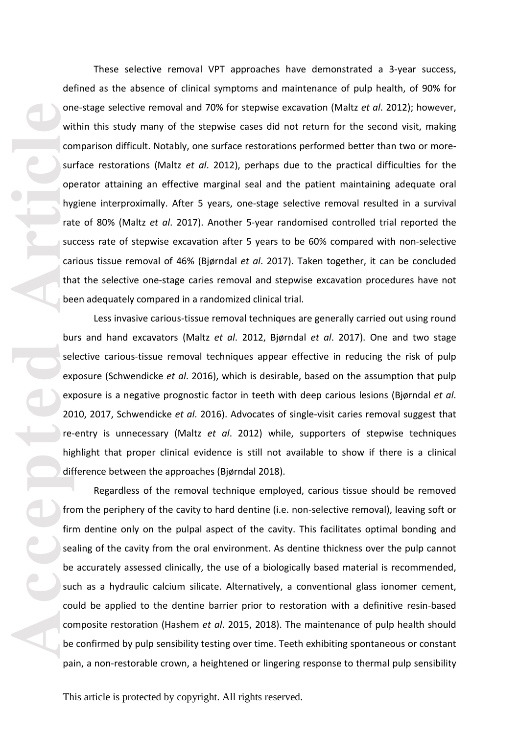on<br>
with con<br>
with con<br>
with con<br>
with con<br>
sun<br>
on<br>
with con<br>
with con<br>
with con<br>
with con<br>
with con<br>
with con<br>
with con<br>
with con<br>
with con<br>
with con<br>
with con<br>
ex<br>
20<br>
ex<br>
20<br>
ex<br>
20<br>
for<br>
for<br>
for<br>
for<br>
the sun<br>
for<br>
f These selective removal VPT approaches have demonstrated a 3 -year success, defined as the absence of clinical symptoms and maintenance of pulp health, of 90% for one -stage selective removal and 70% for stepwise excavation (Maltz *et al* . 2012); however, within this study many of the stepwise cases did not return for the second visit, making comparison difficult. Notably, one surface restorations performed better than two or more surface restorations (Maltz *et al* . 2012), perhaps due to the practical difficulties for the operator attaining an effective marginal seal and the patient maintaining adequate oral hygiene interproximally. After 5 years, one-stage selective removal resulted in a survival rate of 80% (Maltz *et al* . 2017). Another 5 -year randomised controlled trial reported the success rate of stepwise excavation after 5 years to be 60% compared with non -selective carious tissue removal of 46% (Bjørndal *et al* . 2017). Taken together, it can be concluded that the selective one-stage caries removal and stepwise excavation procedures have not been adequately compared in a randomized clinical trial.

Less invasive carious-tissue removal techniques are generally carried out using round burs and hand excavators (Maltz *et al* . 2012, Bjørndal *et al* . 2017). One and two stage selective carious -tissue removal techniques appear effective in reducing the risk of pulp exposure (Schwendicke *et al* . 2016), which is desirable, based on the assumption that pulp exposure is a negative prognostic factor in teeth with deep carious lesions (Bjørndal *et al* . 2010, 2017 , Schwendicke *et al* . 2016). Advocates of single -visit caries removal suggest that re -entry is unnecessary (Maltz *et al* . 2012) while, supporters of stepwise techniques highlight that proper clinical evidence is still not available to show if there is a clinical difference between the approaches (Bjørndal 2018).

Regardless of the removal technique employed, carious tissue should be removed from the periphery of the cavity to hard dentine (i.e. non -selective removal), leaving soft or firm dentine only on the pulpal aspect of the cavity. This facilitates optimal bonding and sealing of the cavity from the oral environment. As dentine thickness over the pulp cannot be accurately assessed clinically, the use of a biologically based material is recommended, such as a hydraulic calcium silicate. Alternatively , a conventional glass ionomer cement, could be applied to the dentine barrier prior to restoration with a definitive resin -based composite restoration (Hashem *et al* . 2015, 2018). The maintenance of pulp healt h should be confirmed by pulp sensibility testing over time. Teeth exhibiting spontaneous or constant pain, a non-restorable crown, a heightened or lingering response to thermal pulp sensibility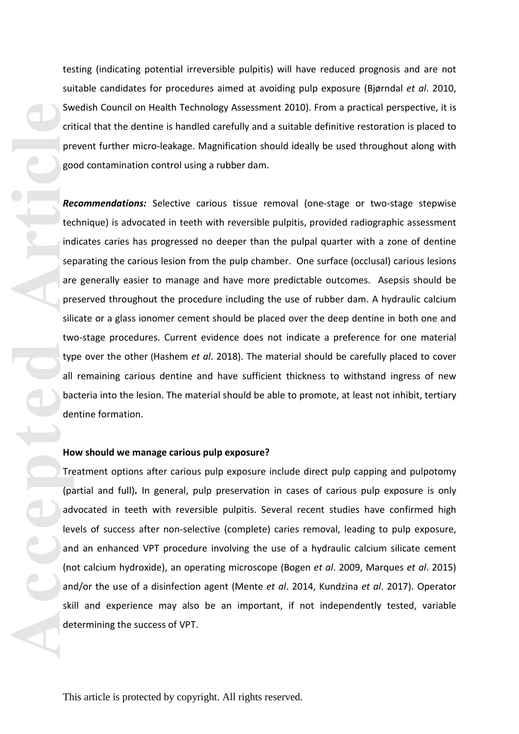testing (indicating potential irreversible pulpitis) will hav e reduced prognosis and are not suitable candidates for procedures aimed at avoiding pulp exposure (Bjørndal *et al* . 2010, Swedish Council on Health Technology Assessment 2010). From a practical perspective, it is critical that the dentine is handled carefully and a suitable definitive restoration is placed to prevent further micro -leakage. Magnification should ideally be used throughout along with good contamination control using a rubber dam.

Swerigness of the tect of the tect of the tect of the tect of the serve side of the serve side tect of the tect of the serve side tect of the tect of the serve side of the tect of the tect of the serve side of the serve si *Recommendations:* Selective carious tissue removal (one -stage or two -stage stepwise technique) is advocated in teeth with reversible pulpitis, provided radiographic assessment indicates caries has progressed no deeper than the pulpal quarter with a zone of dentine separating the carious lesion from the pulp chamber. One surface (occlusal) carious lesions are generally easier to manage and have more predictable outcomes. Asepsis should be preserved throughout the procedure including the use of rubber dam. A hydraulic calcium silicate or a glass ionomer cement should be placed over the deep dentine in both one and two -stage procedures. Current evidence does not indicate a preference for one material type over the other (Hashem *et al* . 2018). The material should be carefully placed to cover all remaining carious dentine and have sufficient thickness to withstand ingress of new bacteria into the lesion. The material should be able to promote, at least not inhibit, tertiary dentine formation.

#### **How should we manage carious pulp exposure?**

Treatment options after carious pulp exposure include direct pulp capping and pulpotomy (partial and full) **.** In general, pulp preservation in cases of carious pulp exposure is only advocated in teeth with reversible pulpitis. Several recent studies have confirmed high levels of success after non-selective (complete) caries removal, leading to pulp exposure, and an enhanced VPT procedure involving the use of a hydraulic calcium silicate cement (not calcium hydroxide), an operating microscope (Bogen *et al* . 2009, Marques *et al* . 2015) and/or the us e of a disinfection agent (Mente *et al* . 2014, Kundzina *et al* . 2017). Operator skill and experience may also be an important, if not independently tested, variable determining the success of VPT.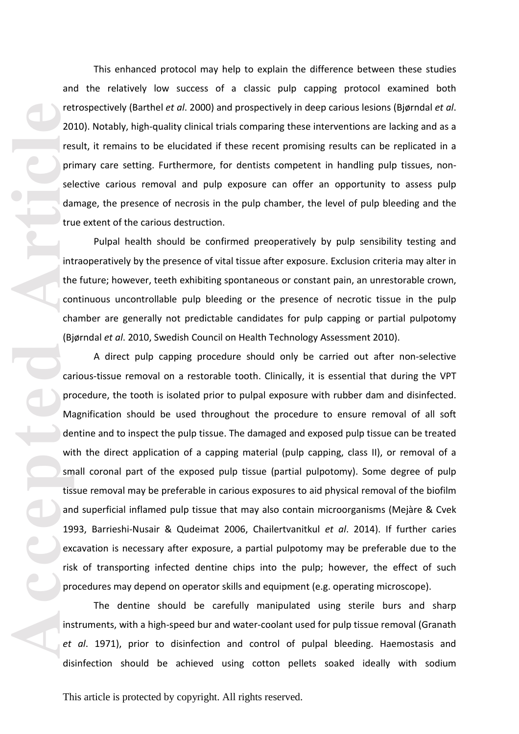This enhanced protocol may help to explain the difference between these studies and the relatively low success of a classic pulp capping protocol examined both retrospectively (Barthel *et al* . 2000) and prospectively in deep carious lesions (Bjørndal *et al* . 2010). Notably, high-quality clinical trials comparing these interventions are lacking and as a result, it remains to be elucidated if these recent promising results can be replicated in a primary care setting. Furthermore, for dentists competent in handling pulp tissues, non selective carious removal and pulp exposure can offer an opportunity to assess pulp damage, the presence of necrosis in the pulp chamber, the level of pulp bleeding and the true extent of the carious destruction.

Pulpal health should be confirmed preoperatively by pulp sensibility testing and intraoperatively by the presence of vital tissue after exposure. Exclusion criteria may alter in the future; however, teeth exhibiting spontaneous or constant pain, an unrestorable crown, continuous uncontrollable pulp bleeding or the presence of necrotic tissue in the pulp chamber are generally not predictable candidates for pulp capping or partial pulpotomy (Bjørndal *et al* . 2010, Swedish Council on Health Technology Assessment 2010).

ret<br>
20<br>
Prisel<br>
20<br>
Prisel<br>
da tru<br>
int the condition<br>
de tru<br>
de wilf de sui<br>
an<br>
19<br>
ex<br>
risel<br>
prisel<br>
an<br>
de wilf<br>
de wilf<br>
de wilf<br>
de wilf<br>
de wilf<br>
de wilf<br>
fint<br>
de wilf<br>
fint<br>
fint<br>
fint<br>
fint<br>
fint<br>
fint<br>
fint<br> A direct pulp capping procedure should only be carried out after non -selective carious-tissue removal on a restorable tooth. Clinically, it is essential that during the VPT procedure , the tooth is isolated prior to pulpal exposure with rubber dam and disinfected. Magnification should be used throughout the procedure to ensure removal of all soft dentine and to inspect the pulp tissue. The damaged and exposed pulp tissue can be treated with the direct application of a capping material (pulp capping, class II), or removal of a small coronal part of the exposed pulp tissue (partial pulpotomy). Some degree of pulp tissue removal may be preferable in carious exposures to aid physical removal of the biofilm and superficial inflamed pulp tissue that may also contain microorganisms (Mejàre & Cvek 1993, Barrieshi -Nusair & Qudeimat 2006, Chailertvanitkul *et al* . 2014). If further caries excavation is necessary after exposure, a partial pulpotomy may be preferable due to the risk of transporting infected dentine chips into the pulp; however, the effect of such procedures may depend on operator skills and equipment (e.g. operating microscope).

The dentine should be carefully manipulated using sterile burs and sharp instruments, with a high-speed bur and water-coolant used for pulp tissue removal (Granath *et al* . 1971), prior to disinfection and control of pulpal bleeding. Haemostasis and disinfection should be achieved using cotton pellets soaked ideally with sodium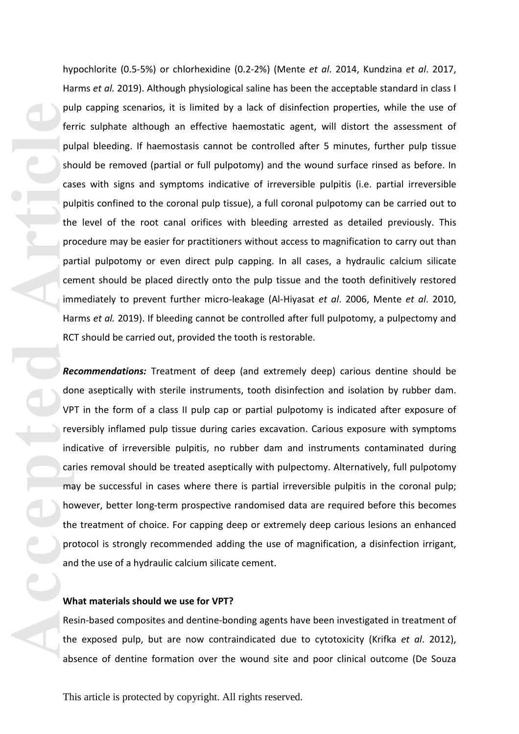hypochlorite (0.5 -5%) or chlorhexidine (0.2 -2%) (Mente *et al* . 2014, Kundzina *et al* . 2017, Harms *et al.* 2019). Although physiological saline has been the acceptable standard in class I pulp capping scenarios, it is limited by a lack of disinfection properties, while the use of ferric sulphate although an effective haemostatic agent, will distort the assessment of pulpal bleeding. If haemostasis cannot be controlled after 5 minutes, further pulp tissue should be removed (partial or full pulpotomy) and the wound surface rinsed as before. In cases with signs and symptoms indicative of irreversible pulpitis (i.e. partial irreversible pulpitis confined to the coronal pulp tissue), a full coronal pulpotomy can be carried out to the level of the root canal orifices with bleeding arrested as detailed previously. This procedure may be easier for practitioners without access to magnification to carry out than partial pulpotomy or even direct pulp capping. In all cases, a hydraulic calcium silicate cement should be placed directly onto the pulp tissue and the tooth definitively restored immediately to prevent further micro -leakage (Al -Hiyasat *et al* . 2006, Mente *et al* . 2010, Harms *et al.* 2019). If bleeding cannot be controlled after full pulpotomy, a pulpectomy and RCT should be carried out, provided the tooth is restorable.

pu<br>
fer<br>
pu<br>
fer<br>
pu<br>
sh ca<br>
pu<br>
sh ca<br>
pu<br>
the production<br>
pu<br>
the production<br>
of the production<br>
the production<br>
of the production<br>
of the production<br>
the production<br>
of the production<br>
of the production<br>
of the producti *Recommendations:* Treatment of deep (and extremely deep) carious dentine should be done aseptically with sterile instruments, tooth disinfection and isolation by rubber dam. VPT in the form of a class II pulp cap or partial pulpotomy is indicated after exposure of reversibly inflamed pulp tissue during caries excavation. Cariou s exposure with symptoms indicative of irreversible pulpitis, no rubber dam and instruments contaminated during caries removal should be treated aseptically with pulpectomy. Alternatively, full pulpotomy may be successful in cases where there is partial irreversible pulpitis in the coronal pulp; however, better long-term prospective randomised data are required before this becomes the treatment of choice. For capping deep or extremely deep carious lesions an enhanced protocol is strongly recommended adding the use of magnification, a disinfection irrigant, and the use of a hydraulic calcium silicate cement.

#### **What materials should we use for VPT?**

Resin-based composites and dentine-bonding agents have been investigated in treatment of the exposed pulp, but are now contraindicated due to cytotoxicity (Krifka *et al*. 2012), absence of dentine formation over the wound site and poor clinical outcome (De Souza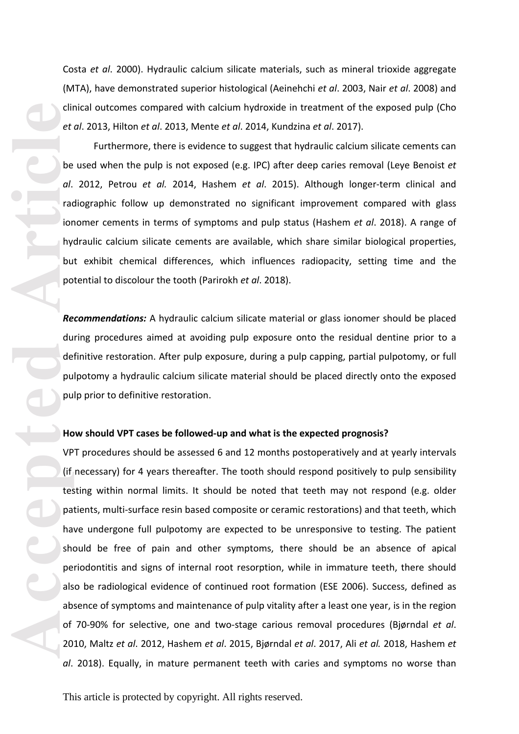Costa *et al* . 2000). Hydraulic calcium silicate materials, such as mineral trioxide aggregate (MTA), have demonstrated superior histological (Aeinehchi *et al* . 2003, Nair *et al* . 2008) and clinical outcomes compared with calcium hydroxide in treatment of the exposed pulp (Cho *et al* . 2013, Hilton *et al* . 2013, Mente *et al* . 2014, Kundzina *et al* . 2017).

Furthermore, there is evidence to suggest that hydraulic calcium silicate cements can be used when the pulp is not exposed (e.g. IPC) after deep caries removal (Leye Benoist *et al* . 2012, Petrou *et al.* 2014, Hashem *et al* . 2015). Although longer -term clinical and radiographic follow up demonstrated no significant improvement compared with glass ionomer cements in terms of symptoms and pulp status (Hashem *et al* . 2018). A range of hydraulic calcium silicate cements are available, which share similar biological properties, but exhibit chemical differences, which influences radiopacity, setting time and the potential to discolour the tooth (Parirokh *et al* . 2018).

*Recommendations:* A hydraulic calcium silicate material or glass ionomer should be placed during procedures aimed at avoiding pulp exposure onto the residual dentine prior to a definitive restoration. After pulp exposure, during a pulp capping, partial pulpotomy, or full pulpotomy a hydraulic calcium silicate material should be placed directly onto the exposed pulp prior to definitive restoration .

### **How should VPT cases be followed -up and what is the expected prognosis?**

**Accepted Article** VPT procedures should be assessed 6 and 12 months postoperatively and at yearly intervals (if necessary) for 4 years thereafter. The tooth should respond positively to pulp sensibility testing within normal limits. It should be noted that teeth may not respond (e.g. older patients, multi -surface resin based composite or ceramic restorations) and that teeth, which have undergone full pulpotomy are expected to be unresponsive to testing. The patient should be free of pain and other symptoms , there should be an absence of apical periodontitis and signs of internal root resorption, while in immature teeth, there should also be radiological evidence of continued root formation (ESE 2006). Success, defined as absence of symptoms and maintenance of pulp vitality after a least one year, is in the region of 70 -90% for selective, one and two -stage carious removal procedures (Bjørndal *et al* . 2010, Maltz *et al* . 2012, Hashem *et al* . 2015, Bjørndal *et al* . 2017, Ali *et al.* 2018, Hashem *et al* . 2018). Equally, in mature permanent teeth with caries and symptoms no worse than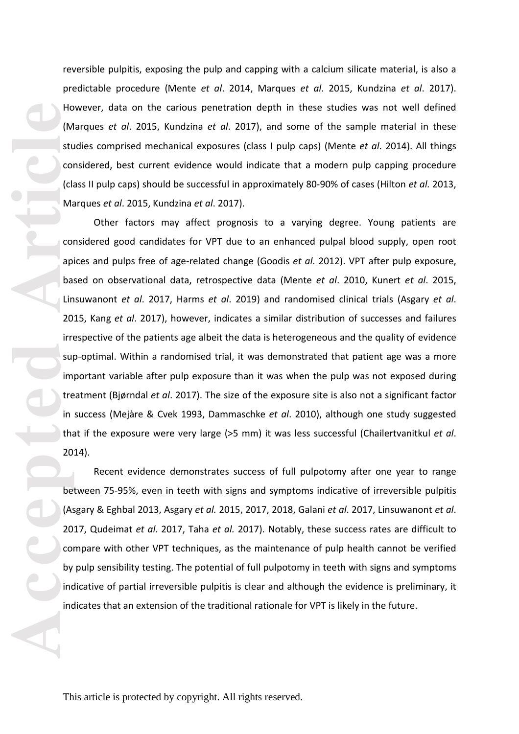reversible pulpitis, exposing the pulp and capping with a calcium silicate material , is also a predictable procedure (Mente *et al* . 2014, Marques *et al* . 2015, Kundzina *et al* . 2017). However, data on the carious penetration depth in these studies was not well defined (Marques *et al* . 2015, Kundzina *et al* . 2017), and some of the sample material in these studies comprised mechanical exposures (class I pulp caps) (Mente *et al* . 2014). All things considered, best current evidence would indicate that a modern pulp capping procedure (class II pulp caps) should be successful in approximately 80 -90% of cases (Hilton *et al.* 2013, Marques *et al* . 2015, Kundzina *et al* . 2017).

Ho (M<br> **Accepted Accepted Article**<br> **Accepted Article**<br> **Accepted Accepted**<br> **Accepted**<br> **Accepted**<br> **Article**<br> **Article**<br> **Article**<br> **Article**<br> **Article**<br> **Article**<br> **Article**<br> **Article**<br> **Article**<br> **Article**<br> **Ar** Other factors may affect prognosis to a varying degree. Young patients are considered good candidates for VPT due to an enhanced pulpal blood supply, open root apices and pulps free of age -related change (Goodis *et al* . 2012). VPT after pulp exposure, based on observational data, retrospective data (Mente *et al* . 2010, Kunert *et al* . 2015, Linsuwanont *et al* . 2017, Harms *et al* . 2019) and randomised clinical trials (Asgary *et al* . 2015, Kang *et al* . 2017) , however, indicates a similar distribution of successes and failures irrespective of the patients age albeit the data is heterogeneous and the quality of evidence sup -optimal. Within a randomised trial, it was demonstrated that patient age was a more important variable after pulp exposure than it was when the pulp was not exposed during treatment (Bjørndal *et al* . 2017). The size of the exposure site is also not a significant factor in success (Mejàre & Cvek 1993, Dammaschke *et al* . 2010), although one study suggested that if the exposure were very large (>5 mm) it was less successful (Chailertvanitkul *et al* . 2014).

Recent evidence demonstrates success of full pulpotomy after one year to range between 75 - 95%, even in teeth with signs and symptoms indicative of irreversible pulpitis (Asgary & Eghbal 2013, Asgary *et al.* 2015, 2017, 2018, Galani *et al* . 2017, Linsuwanont *et al* . 2017, Qudeimat *et al*. 2017, Taha *et al.* 2017). Notably, these success rates are difficult to compare with other VPT techniques, as the maintenance of pulp health cannot be verified by pulp sensibility testing. The potential of full pulpotomy in teeth with signs and symptoms indicative of partial irreversible pulpitis is clear and although the evidence is preliminary, it indicates that an extension of the traditional rationale for VPT is likely in the future.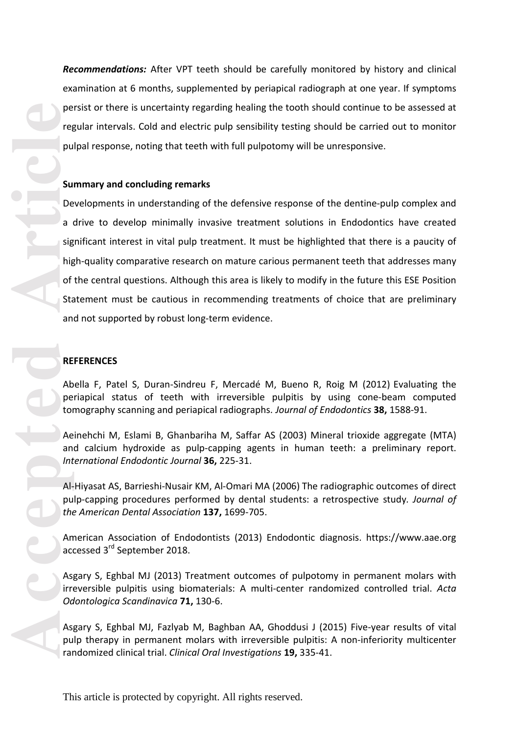*Recommendations:* After VPT teeth should be carefully monitored by history and clinical examination at 6 months, supplemented by periapical radiograph at one year . If symptoms persist or there is uncertainty regarding healing the tooth should continue to be assessed at regular intervals . Cold and electric pulp sensibility testing should be carried out to monitor pulpal response, noting that teeth with full pulpotomy will be unresponsive.

### **Summary and concluding remarks**

Developments in understanding of the defensive response of the dentine-pulp complex and a drive to develop minimally invasive treatment solutions in Endodontics have created significant interest in vital pulp treatment. It must be highlighted that there is a paucity of high -quality comparative research on mature carious permanen t teeth that addresses many of the central questions. Although this area is likely to modify in the future this ESE Position Statement must be cautious in recommending treatments of choice that are preliminary and not supported by robust long -term evidence .

### **REFERENCES**

Abella F, Patel S, Duran -Sindreu F, Mercadé M, Bueno R, Roig M (2012) Evaluating the periapical status of teeth with irreversible pulpitis by using cone -beam computed tomography scanning and periapical radiographs. *Journal of Endodontics* **38,** 1588 -91.

Aeinehchi M, Eslami B, Ghanbariha M, Saffar AS (2003) Mineral trioxide aggregate (MTA) and calcium hydroxide as pulp -capping agents in human teeth: a preliminary report. *International Endodontic Journal* **36,** 225 -31.

Al-Hiyasat AS, Barrieshi-Nusair KM, Al-Omari MA (2006) The radiographic outcomes of direct pulp -capping procedures performed by dental students: a retrospective study *. Journal of the American Dental Association* **137,** 1699 -705.

American Association of Endodontists (2013) Endodontic diagnosis. https://www.aae.org accessed 3 rd September 2018.

Asgary S, Eghbal MJ (2013) Treatment outcomes of pulpotomy in permanent molars with irreversible pulpitis using biomaterials: A multi-center randomized controlled trial. Acta *Odontologica Scandinavica* **71,** 130 -6.

Asgary S, Eghbal MJ, Fazlyab M, Baghban AA, Ghoddusi J (2015) Five -year results of vital pulp therapy in permanent molars with irreversible pulpitis: A non -inferiority multicenter randomized clinical trial. *Clinical Oral Investigations* **19,** 335 -41.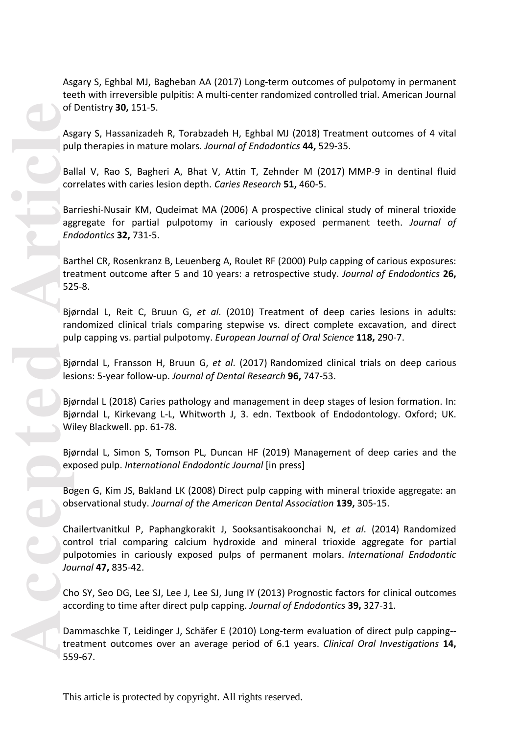Asgary S, Eghbal MJ, Bagheban AA (2017) Long-term outcomes of pulpotomy in permanent teeth with irreversible pulpitis: A multi-center randomized controlled trial. American Journal of Dentistry **30,** 151-5.

Asgary S, Hassanizadeh R, Torabzadeh H, Eghbal MJ (2018) Treatment outcomes of 4 vital pulp therapies in mature molars. *Journal of Endodontics* **44,** 529-35.

Ballal V, Rao S, Bagheri A, Bhat V, Attin T, Zehnder M (2017) MMP-9 in dentinal fluid correlates with caries lesion depth. *Caries Research* **51,** 460-5.

Barrieshi-Nusair KM, Qudeimat MA (2006) A prospective clinical study of mineral trioxide aggregate for partial pulpotomy in cariously exposed permanent teeth. *Journal of Endodontics* **32,** 731-5.

Barthel CR, Rosenkranz B, Leuenberg A, Roulet RF (2000) Pulp capping of carious exposures: treatment outcome after 5 and 10 years: a retrospective study. *Journal of Endodontics* **26,** 525-8.

Bjørndal L, Reit C, Bruun G, *et al*. (2010) Treatment of deep caries lesions in adults: randomized clinical trials comparing stepwise vs. direct complete excavation, and direct pulp capping vs. partial pulpotomy. *European Journal of Oral Science* **118,** 290-7.

Bjørndal L, Fransson H, Bruun G, *et al*. (2017) Randomized clinical trials on deep carious lesions: 5-year follow-up. *Journal of Dental Research* **96,** 747-53.

Bjørndal L (2018) Caries pathology and management in deep stages of lesion formation. In: Bjørndal L, Kirkevang L-L, Whitworth J, 3. edn. Textbook of Endodontology. Oxford; UK. Wiley Blackwell. pp. 61-78.

Bjørndal L, Simon S, Tomson PL, Duncan HF (2019) Management of deep caries and the exposed pulp. *International Endodontic Journal* [in press]

Bogen G, Kim JS, Bakland LK (2008) Direct pulp capping with mineral trioxide aggregate: an observational study. *Journal of the American Dental Association* **139,** 305-15.

Chailertvanitkul P, Paphangkorakit J, Sooksantisakoonchai N, *et al*. (2014) Randomized control trial comparing calcium hydroxide and mineral trioxide aggregate for partial pulpotomies in cariously exposed pulps of permanent molars. *International Endodontic Journal* **47,** 835-42.

Cho SY, Seo DG, Lee SJ, Lee J, Lee SJ, Jung IY (2013) Prognostic factors for clinical outcomes according to time after direct pulp capping. *Journal of Endodontics* **39,** 327-31.

Dammaschke T, Leidinger J, Schäfer E (2010) Long-term evaluation of direct pulp capping- treatment outcomes over an average period of 6.1 years. *Clinical Oral Investigations* **14,** 559-67.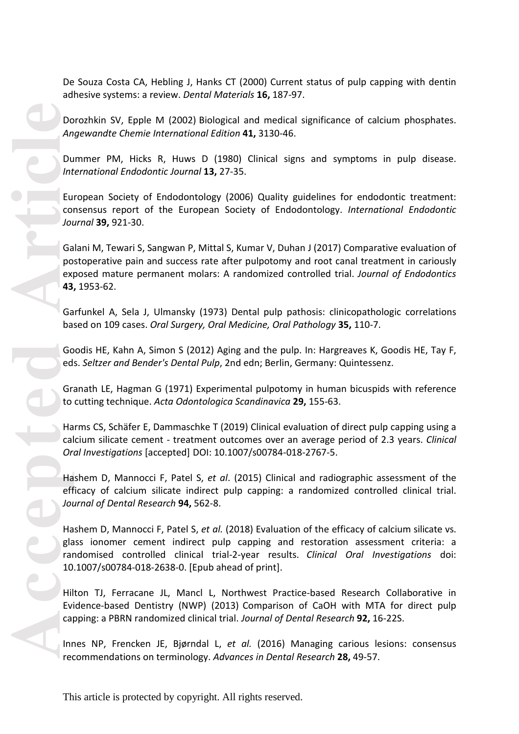De Souza Costa CA, Hebling J, Hanks CT (2000) Current status of pulp capping with dentin adhesive systems: a review. *Dental Materials* **16,** 187-97.

Dorozhkin SV, Epple M (2002) Biological and medical significance of calcium phosphates. *Angewandte Chemie International Edition* **41,** 3130-46.

Dummer PM, Hicks R, Huws D (1980) Clinical signs and symptoms in pulp disease. *International Endodontic Journal* **13,** 27-35.

European Society of Endodontology (2006) Quality guidelines for endodontic treatment: consensus report of the European Society of Endodontology. *International Endodontic Journal* **39,** 921-30.

Galani M, Tewari S, Sangwan P, Mittal S, Kumar V, Duhan J (2017) Comparative evaluation of postoperative pain and success rate after pulpotomy and root canal treatment in cariously exposed mature permanent molars: A randomized controlled trial. *Journal of Endodontics* **43,** 1953-62.

Garfunkel A, Sela J, Ulmansky (1973) Dental pulp pathosis: clinicopathologic correlations based on 109 cases. *Oral Surgery, Oral Medicine, Oral Pathology* **35,** 110-7.

Goodis HE, Kahn A, Simon S (2012) Aging and the pulp. In: Hargreaves K, Goodis HE, Tay F, eds. *Seltzer and Bender's Dental Pulp*, 2nd edn; Berlin, Germany: Quintessenz.

Granath LE, Hagman G (1971) Experimental pulpotomy in human bicuspids with reference to cutting technique. *Acta Odontologica Scandinavica* **29,** 155-63.

Harms CS, Schäfer E, Dammaschke T (2019) Clinical evaluation of direct pulp capping using a calcium silicate cement - treatment outcomes over an average period of 2.3 years. *Clinical Oral Investigations* [accepted] DOI: 10.1007/s00784-018-2767-5.

Hashem D, Mannocci F, Patel S, *et al*. (2015) Clinical and radiographic assessment of the efficacy of calcium silicate indirect pulp capping: a randomized controlled clinical trial. *Journal of Dental Research* **94,** 562-8.

Hashem D, Mannocci F, Patel S, *et al.* (2018) Evaluation of the efficacy of calcium silicate vs. glass ionomer cement indirect pulp capping and restoration assessment criteria: a randomised controlled clinical trial-2-year results. *Clinical Oral Investigations* doi: 10.1007/s00784-018-2638-0. [Epub ahead of print].

Hilton TJ, Ferracane JL, Mancl L, Northwest Practice-based Research Collaborative in Evidence-based Dentistry (NWP) (2013) Comparison of CaOH with MTA for direct pulp capping: a PBRN randomized clinical trial. *Journal of Dental Research* **92,** 16-22S.

Innes NP, Frencken JE, Bjørndal L, *et al.* (2016) Managing carious lesions: consensus recommendations on terminology. *Advances in Dental Research* **28,** 49-57.

Do Am<br>
Do Am<br>
Du Int<br>
Eu Col Int<br>
Eu Col Int<br>
Ga po ex|<br>
43<br>
Ga po ex|<br>
43<br>
Ga po ex|<br>
43<br>
Ga po ex|<br>
43<br>
Ga po ex|<br>
50<br>
Ga po ex|<br>
50<br>
Ga do ed Gr bo Ha cal<br>
Du Ha cal<br>
Du Ha cal<br>
Du Ha cal<br>
Du Ha cal<br>
Du Ha cal<br>
Du Ha ca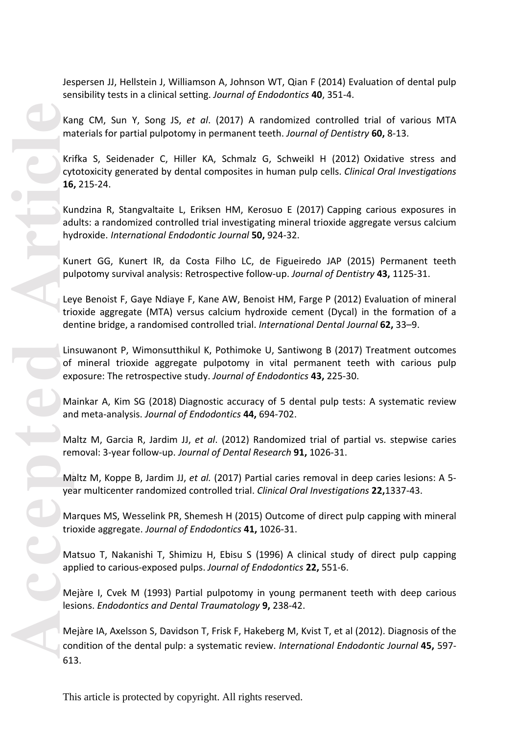Jespersen JJ, Hellstein J, Williamson A, Johnson WT, Qian F (2014) Evaluation of dental pulp sensibility tests in a clinical setting. *Journal of Endodontics* **40**, 351-4.

Kang CM, Sun Y, Song JS, *et al*. (2017) A randomized controlled trial of various MTA materials for partial pulpotomy in permanent teeth. *Journal of Dentistry* **60,** 8-13.

Krifka S, Seidenader C, Hiller KA, Schmalz G, Schweikl H (2012) Oxidative stress and cytotoxicity generated by dental composites in human pulp cells. *Clinical Oral Investigations* **16,** 215-24.

Kundzina R, Stangvaltaite L, Eriksen HM, Kerosuo E (2017) Capping carious exposures in adults: a randomized controlled trial investigating mineral trioxide aggregate versus calcium hydroxide. *International Endodontic Journal* **50,** 924-32.

Kunert GG, Kunert IR, da Costa Filho LC, de Figueiredo JAP (2015) Permanent teeth pulpotomy survival analysis: Retrospective follow-up. *Journal of Dentistry* **43,** 1125-31.

Leye Benoist F, Gaye Ndiaye F, Kane AW, Benoist HM, Farge P (2012) Evaluation of mineral trioxide aggregate (MTA) versus calcium hydroxide cement (Dycal) in the formation of a dentine bridge, a randomised controlled trial. *International Dental Journal* **62,** 33–9.

Linsuwanont P, Wimonsutthikul K, Pothimoke U, Santiwong B (2017) Treatment outcomes of mineral trioxide aggregate pulpotomy in vital permanent teeth with carious pulp exposure: The retrospective study. *Journal of Endodontics* **43,** 225-30.

Mainkar A, Kim SG (2018) Diagnostic accuracy of 5 dental pulp tests: A systematic review and meta-analysis. *Journal of Endodontics* **44,** 694-702.

Maltz M, Garcia R, Jardim JJ, *et al*. (2012) Randomized trial of partial vs. stepwise caries removal: 3-year follow-up. *Journal of Dental Research* **91,** 1026-31.

Maltz M, Koppe B, Jardim JJ, *et al.* (2017) Partial caries removal in deep caries lesions: A 5 year multicenter randomized controlled trial. *Clinical Oral Investigations* **22,**1337-43.

Marques MS, Wesselink PR, Shemesh H (2015) Outcome of direct pulp capping with mineral trioxide aggregate. *Journal of Endodontics* **41,** 1026-31.

Matsuo T, Nakanishi T, Shimizu H, Ebisu S (1996) A clinical study of direct pulp capping applied to carious-exposed pulps. *Journal of Endodontics* **22,** 551-6.

Mejàre I, Cvek M (1993) Partial pulpotomy in young permanent teeth with deep carious lesions. *Endodontics and Dental Traumatology* **9,** 238-42.

Mejàre IA, Axelsson S, Davidson T, Frisk F, Hakeberg M, Kvist T, et al (2012). Diagnosis of the condition of the dental pulp: a systematic review. *International Endodontic Journal* **45,** 597- 613.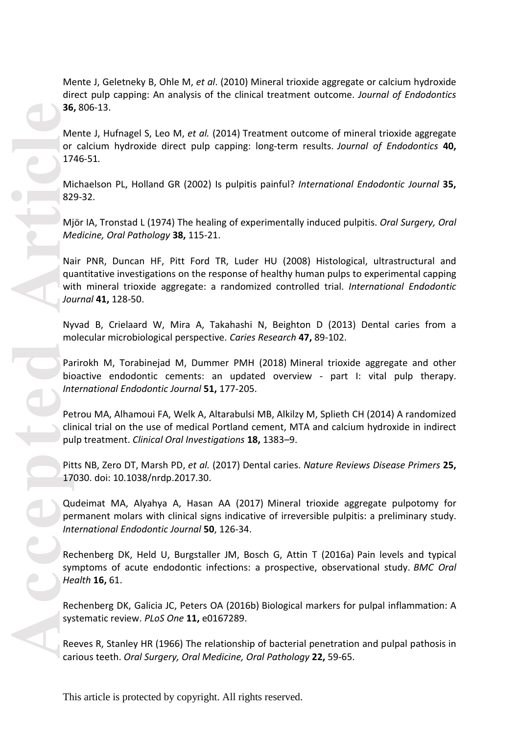Mente J, Geletneky B, Ohle M, *et al*. (2010) Mineral trioxide aggregate or calcium hydroxide direct pulp capping: An analysis of the clinical treatment outcome. *Journal of Endodontics* **36,** 806-13.

Mente J, Hufnagel S, Leo M, *et al.* (2014) Treatment outcome of mineral trioxide aggregate or calcium hydroxide direct pulp capping: long-term results. *Journal of Endodontics* **40,** 1746-51*.*

Michaelson PL, Holland GR (2002) Is pulpitis painful? *International Endodontic Journal* **35,** 829-32.

Mjör IA, Tronstad L (1974) The healing of experimentally induced pulpitis. *Oral Surgery, Oral Medicine, Oral Pathology* **38,** 115-21.

Nair PNR, Duncan HF, Pitt Ford TR, Luder HU (2008) Histological, ultrastructural and quantitative investigations on the response of healthy human pulps to experimental capping with mineral trioxide aggregate: a randomized controlled trial. *International Endodontic Journal* **41,** 128-50.

Nyvad B, Crielaard W, Mira A, Takahashi N, Beighton D (2013) Dental caries from a molecular microbiological perspective. *Caries Research* **47,** 89-102.

Parirokh M, Torabinejad M, Dummer PMH (2018) Mineral trioxide aggregate and other bioactive endodontic cements: an updated overview - part I: vital pulp therapy. *International Endodontic Journal* **51,** 177-205.

Petrou MA, Alhamoui FA, Welk A, Altarabulsi MB, Alkilzy M, Splieth CH (2014) A randomized clinical trial on the use of medical Portland cement, MTA and calcium hydroxide in indirect pulp treatment. *Clinical Oral Investigations* **18,** 1383–9.

Pitts NB, Zero DT, Marsh PD, *et al.* (2017) Dental caries. *Nature Reviews Disease Primers* **25,** 17030. doi: 10.1038/nrdp.2017.30.

Qudeimat MA, Alyahya A, Hasan AA (2017) Mineral trioxide aggregate pulpotomy for permanent molars with clinical signs indicative of irreversible pulpitis: a preliminary study. *International Endodontic Journal* **50**, 126-34.

Rechenberg DK, Held U, Burgstaller JM, Bosch G, Attin T (2016a) Pain levels and typical symptoms of acute endodontic infections: a prospective, observational study. *BMC Oral Health* **16,** 61.

Rechenberg DK, Galicia JC, Peters OA (2016b) Biological markers for pulpal inflammation: A systematic review. *PLoS One* **11,** e0167289.

Reeves R, Stanley HR (1966) The relationship of bacterial penetration and pulpal pathosis in carious teeth. *Oral Surgery, Oral Medicine, Oral Pathology* **22,** 59-65.